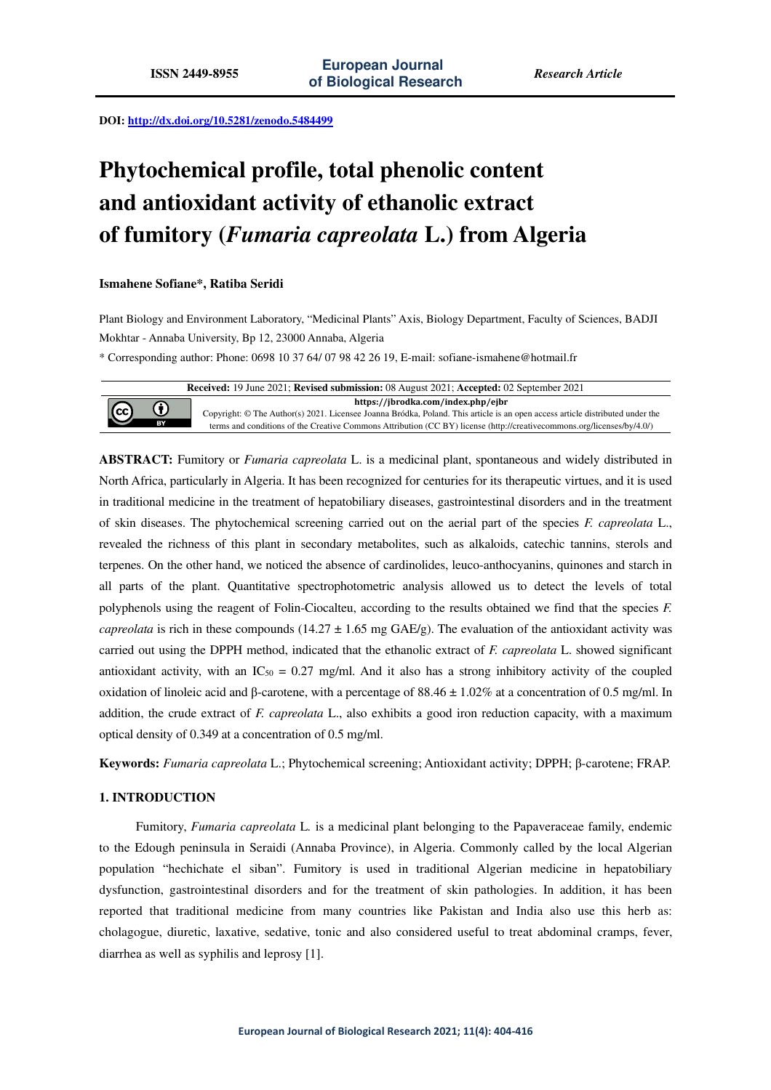**DOI: http://dx.doi.org/10.5281/zenodo.5484499** 

# **Phytochemical profile, total phenolic content and antioxidant activity of ethanolic extract of fumitory (***Fumaria capreolata* **L.) from Algeria**

# **Ismahene Sofiane\*, Ratiba Seridi**

Plant Biology and Environment Laboratory, "Medicinal Plants" Axis, Biology Department, Faculty of Sciences, BADJI Mokhtar - Annaba University, Bp 12, 23000 Annaba, Algeria

\* Corresponding author: Phone: 0698 10 37 64/ 07 98 42 26 19, E-mail: sofiane-ismahene@hotmail.fr

**Received:** 19 June 2021; **Revised submission:** 08 August 2021; **Accepted:** 02 September 2021 **https://jbrodka.com/index.php/ejbr**  $\bf{0}$ (cc) Copyright: © The Author(s) 2021. Licensee Joanna Bródka, Poland. This article is an open access article distributed under the  $\overline{BY}$ terms and conditions of the Creative Commons Attribution (CC BY) license (http://creativecommons.org/licenses/by/4.0/)

**ABSTRACT:** Fumitory or *Fumaria capreolata* L. is a medicinal plant, spontaneous and widely distributed in North Africa, particularly in Algeria. It has been recognized for centuries for its therapeutic virtues, and it is used in traditional medicine in the treatment of hepatobiliary diseases, gastrointestinal disorders and in the treatment of skin diseases. The phytochemical screening carried out on the aerial part of the species *F. capreolata* L., revealed the richness of this plant in secondary metabolites, such as alkaloids, catechic tannins, sterols and terpenes. On the other hand, we noticed the absence of cardinolides, leuco-anthocyanins, quinones and starch in all parts of the plant. Quantitative spectrophotometric analysis allowed us to detect the levels of total polyphenols using the reagent of Folin-Ciocalteu, according to the results obtained we find that the species *F. capreolata* is rich in these compounds (14.27  $\pm$  1.65 mg GAE/g). The evaluation of the antioxidant activity was carried out using the DPPH method, indicated that the ethanolic extract of *F. capreolata* L. showed significant antioxidant activity, with an  $IC_{50} = 0.27$  mg/ml. And it also has a strong inhibitory activity of the coupled oxidation of linoleic acid and β-carotene, with a percentage of 88.46  $\pm$  1.02% at a concentration of 0.5 mg/ml. In addition, the crude extract of *F. capreolata* L., also exhibits a good iron reduction capacity, with a maximum optical density of 0.349 at a concentration of 0.5 mg/ml.

**Keywords:** *Fumaria capreolata* L.; Phytochemical screening; Antioxidant activity; DPPH; β-carotene; FRAP.

# **1. INTRODUCTION**

Fumitory, *Fumaria capreolata* L*.* is a medicinal plant belonging to the Papaveraceae family, endemic to the Edough peninsula in Seraidi (Annaba Province), in Algeria. Commonly called by the local Algerian population "hechichate el siban". Fumitory is used in traditional Algerian medicine in hepatobiliary dysfunction, gastrointestinal disorders and for the treatment of skin pathologies. In addition, it has been reported that traditional medicine from many countries like Pakistan and India also use this herb as: cholagogue, diuretic, laxative, sedative, tonic and also considered useful to treat abdominal cramps, fever, diarrhea as well as syphilis and leprosy [1].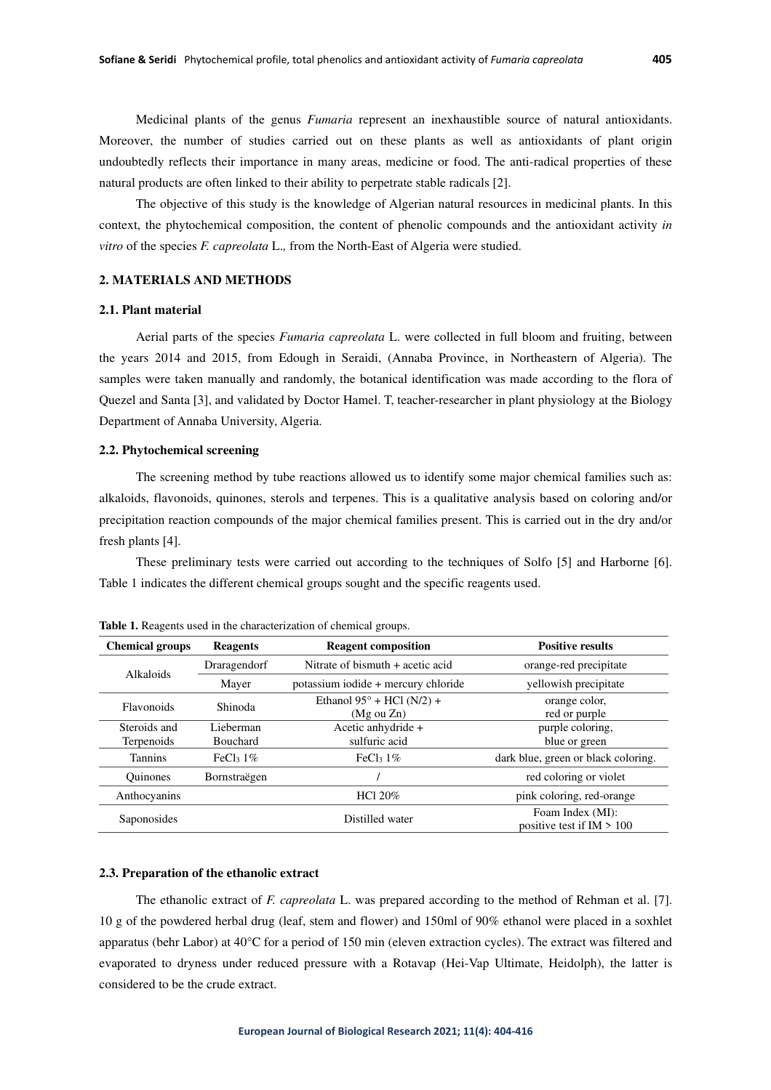Medicinal plants of the genus *Fumaria* represent an inexhaustible source of natural antioxidants. Moreover, the number of studies carried out on these plants as well as antioxidants of plant origin undoubtedly reflects their importance in many areas, medicine or food. The anti-radical properties of these natural products are often linked to their ability to perpetrate stable radicals [2].

The objective of this study is the knowledge of Algerian natural resources in medicinal plants. In this context, the phytochemical composition, the content of phenolic compounds and the antioxidant activity *in vitro* of the species *F. capreolata* L.*,* from the North-East of Algeria were studied.

# **2. MATERIALS AND METHODS**

### **2.1. Plant material**

Aerial parts of the species *Fumaria capreolata* L. were collected in full bloom and fruiting, between the years 2014 and 2015, from Edough in Seraidi, (Annaba Province, in Northeastern of Algeria). The samples were taken manually and randomly, the botanical identification was made according to the flora of Quezel and Santa [3], and validated by Doctor Hamel. T, teacher-researcher in plant physiology at the Biology Department of Annaba University, Algeria.

### **2.2. Phytochemical screening**

The screening method by tube reactions allowed us to identify some major chemical families such as: alkaloids, flavonoids, quinones, sterols and terpenes. This is a qualitative analysis based on coloring and/or precipitation reaction compounds of the major chemical families present. This is carried out in the dry and/or fresh plants [4].

These preliminary tests were carried out according to the techniques of Solfo [5] and Harborne [6]. Table 1 indicates the different chemical groups sought and the specific reagents used.

| <b>Chemical groups</b>     | <b>Reagents</b>              | <b>Reagent composition</b>                                               | <b>Positive results</b>        |  |
|----------------------------|------------------------------|--------------------------------------------------------------------------|--------------------------------|--|
| Alkaloids                  | Draragendorf                 | Nitrate of bismuth $+$ acetic acid                                       | orange-red precipitate         |  |
|                            | Mayer                        | potassium iodide + mercury chloride                                      | yellowish precipitate          |  |
| <b>Flavonoids</b>          | Shinoda                      | Ethanol $95^\circ$ + HCl (N/2) +<br>$(Mg \text{ ou } Zn)$                | orange color,<br>red or purple |  |
| Steroids and<br>Terpenoids | Lieberman<br><b>Bouchard</b> | Acetic anhydride +<br>purple coloring,<br>sulfuric acid<br>blue or green |                                |  |
| <b>Tannins</b>             | FeCl <sub>3</sub> $1\%$      | dark blue, green or black coloring.<br>FeCl <sub>3</sub> $1\%$           |                                |  |
| <b>Ouinones</b>            | Bornstraëgen                 |                                                                          | red coloring or violet         |  |
| Anthocyanins               |                              | pink coloring, red-orange<br>HCl $20\%$                                  |                                |  |
| Saponosides                |                              | Foam Index (MI):<br>Distilled water<br>positive test if $IM > 100$       |                                |  |

**Table 1.** Reagents used in the characterization of chemical groups.

## **2.3. Preparation of the ethanolic extract**

The ethanolic extract of *F. capreolata* L. was prepared according to the method of Rehman et al. [7]. 10 g of the powdered herbal drug (leaf, stem and flower) and 150ml of 90% ethanol were placed in a soxhlet apparatus (behr Labor) at 40°C for a period of 150 min (eleven extraction cycles). The extract was filtered and evaporated to dryness under reduced pressure with a Rotavap (Hei-Vap Ultimate, Heidolph), the latter is considered to be the crude extract.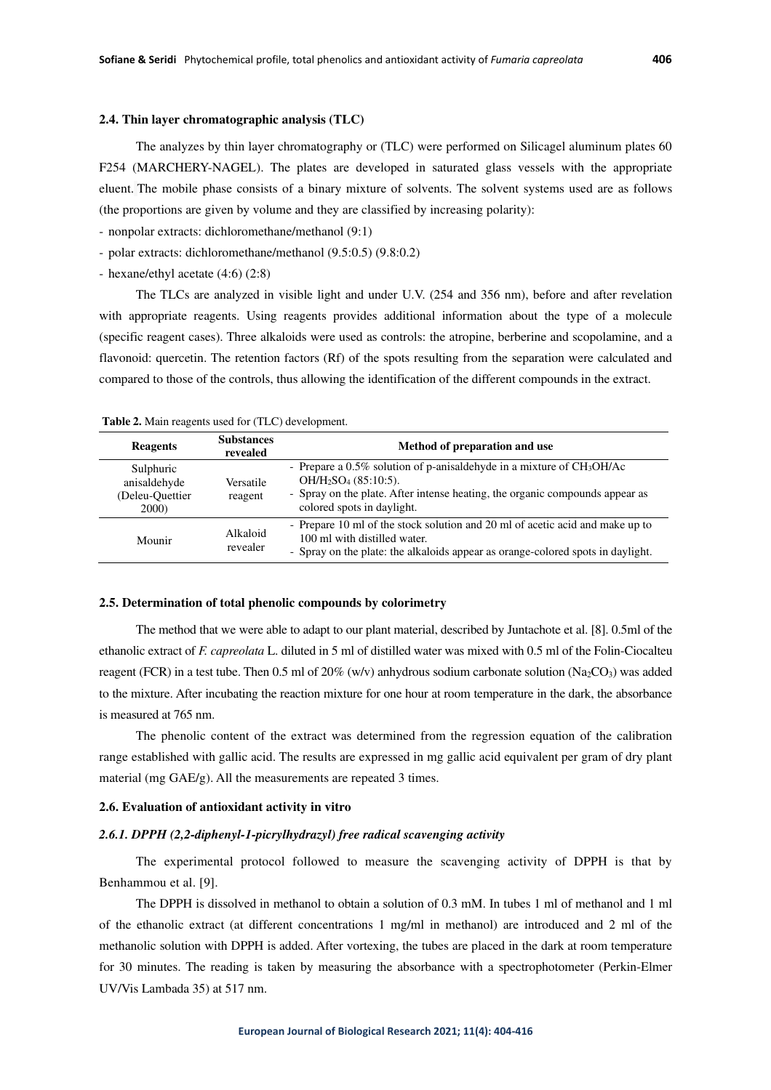# **2.4. Thin layer chromatographic analysis (TLC)**

The analyzes by thin layer chromatography or (TLC) were performed on Silicagel aluminum plates 60 F254 (MARCHERY-NAGEL). The plates are developed in saturated glass vessels with the appropriate eluent. The mobile phase consists of a binary mixture of solvents. The solvent systems used are as follows (the proportions are given by volume and they are classified by increasing polarity):

- nonpolar extracts: dichloromethane/methanol (9:1)

- polar extracts: dichloromethane/methanol (9.5:0.5) (9.8:0.2)

- hexane/ethyl acetate (4:6) (2:8)

The TLCs are analyzed in visible light and under U.V. (254 and 356 nm), before and after revelation with appropriate reagents. Using reagents provides additional information about the type of a molecule (specific reagent cases). Three alkaloids were used as controls: the atropine, berberine and scopolamine, and a flavonoid: quercetin. The retention factors (Rf) of the spots resulting from the separation were calculated and compared to those of the controls, thus allowing the identification of the different compounds in the extract.

| <b>Reagents</b>                                       | <b>Substances</b><br>revealed | Method of preparation and use                                                                                                                                                                               |  |
|-------------------------------------------------------|-------------------------------|-------------------------------------------------------------------------------------------------------------------------------------------------------------------------------------------------------------|--|
| Sulphuric<br>anisaldehyde<br>(Deleu-Ouettier<br>2000) | Versatile<br>reagent          | - Prepare a 0.5% solution of p-anisaldehyde in a mixture of CH3OH/Ac<br>$OH/H2SO4 (85:10:5).$<br>- Spray on the plate. After intense heating, the organic compounds appear as<br>colored spots in daylight. |  |
| Mounir                                                | Alkaloid<br>revealer          | - Prepare 10 ml of the stock solution and 20 ml of acetic acid and make up to<br>100 ml with distilled water.<br>- Spray on the plate: the alkaloids appear as orange-colored spots in daylight.            |  |

 **Table 2.** Main reagents used for (TLC) development.

#### **2.5. Determination of total phenolic compounds by colorimetry**

The method that we were able to adapt to our plant material, described by Juntachote et al. [8]. 0.5ml of the ethanolic extract of *F. capreolata* L. diluted in 5 ml of distilled water was mixed with 0.5 ml of the Folin-Ciocalteu reagent (FCR) in a test tube. Then 0.5 ml of 20% (w/v) anhydrous sodium carbonate solution (Na<sub>2</sub>CO<sub>3</sub>) was added to the mixture. After incubating the reaction mixture for one hour at room temperature in the dark, the absorbance is measured at 765 nm.

The phenolic content of the extract was determined from the regression equation of the calibration range established with gallic acid. The results are expressed in mg gallic acid equivalent per gram of dry plant material (mg GAE/g). All the measurements are repeated 3 times.

#### **2.6. Evaluation of antioxidant activity in vitro**

#### *2.6.1. DPPH (2,2-diphenyl-1-picrylhydrazyl) free radical scavenging activity*

The experimental protocol followed to measure the scavenging activity of DPPH is that by Benhammou et al. [9].

The DPPH is dissolved in methanol to obtain a solution of 0.3 mM. In tubes 1 ml of methanol and 1 ml of the ethanolic extract (at different concentrations 1 mg/ml in methanol) are introduced and 2 ml of the methanolic solution with DPPH is added. After vortexing, the tubes are placed in the dark at room temperature for 30 minutes. The reading is taken by measuring the absorbance with a spectrophotometer (Perkin-Elmer UV/Vis Lambada 35) at 517 nm.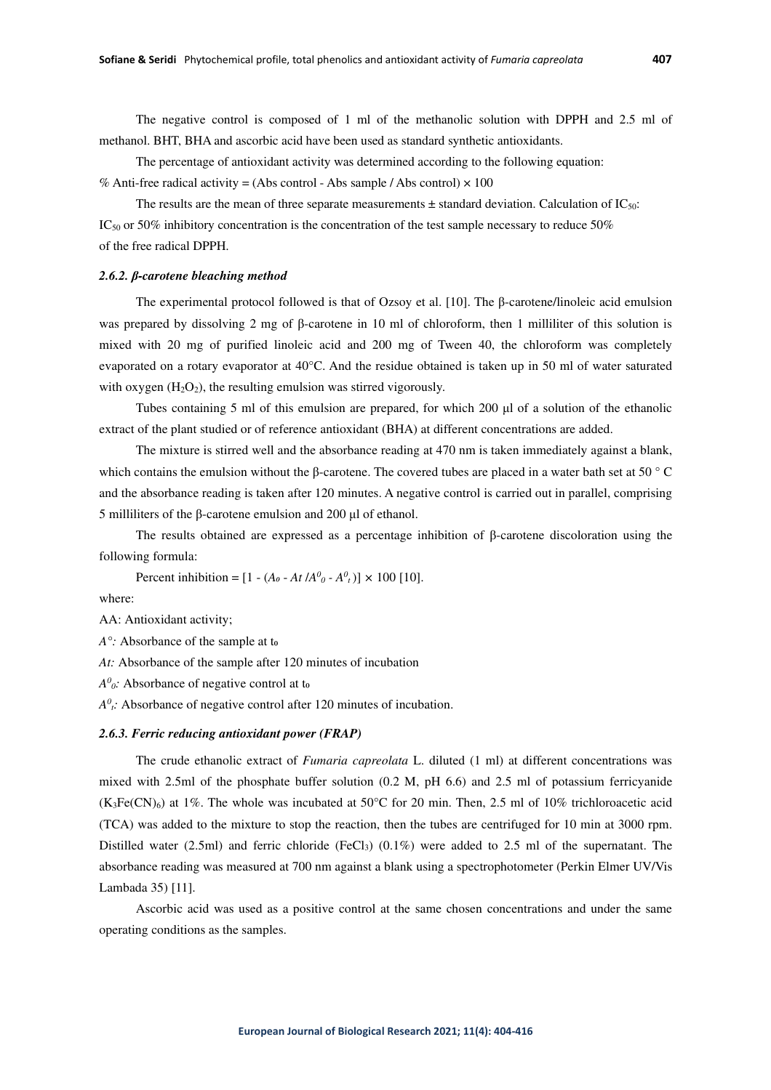The negative control is composed of 1 ml of the methanolic solution with DPPH and 2.5 ml of methanol. BHT, BHA and ascorbic acid have been used as standard synthetic antioxidants.

The percentage of antioxidant activity was determined according to the following equation: % Anti-free radical activity = (Abs control - Abs sample / Abs control)  $\times$  100

The results are the mean of three separate measurements  $\pm$  standard deviation. Calculation of IC<sub>50</sub>:  $IC<sub>50</sub>$  or 50% inhibitory concentration is the concentration of the test sample necessary to reduce 50% of the free radical DPPH.

# *2.6.2. β-carotene bleaching method*

The experimental protocol followed is that of Ozsoy et al. [10]. The β-carotene/linoleic acid emulsion was prepared by dissolving 2 mg of β-carotene in 10 ml of chloroform, then 1 milliliter of this solution is mixed with 20 mg of purified linoleic acid and 200 mg of Tween 40, the chloroform was completely evaporated on a rotary evaporator at 40°C. And the residue obtained is taken up in 50 ml of water saturated with oxygen  $(H_2O_2)$ , the resulting emulsion was stirred vigorously.

Tubes containing 5 ml of this emulsion are prepared, for which 200 μl of a solution of the ethanolic extract of the plant studied or of reference antioxidant (BHA) at different concentrations are added.

The mixture is stirred well and the absorbance reading at 470 nm is taken immediately against a blank, which contains the emulsion without the β-carotene. The covered tubes are placed in a water bath set at 50 °C and the absorbance reading is taken after 120 minutes. A negative control is carried out in parallel, comprising 5 milliliters of the β-carotene emulsion and 200 μl of ethanol.

The results obtained are expressed as a percentage inhibition of β-carotene discoloration using the following formula:

Percent inhibition =  $[1 - (A_0 - At /A_0^0 - A_1^0)] \times 100$  [10].

where:

AA: Antioxidant activity;

*A*<sup>o</sup>: Absorbance of the sample at to

*At:* Absorbance of the sample after 120 minutes of incubation

 $A^0$ <sup>o</sup>: Absorbance of negative control at to

 $A^0$ <sup>*t*</sup>: Absorbance of negative control after 120 minutes of incubation.

### *2.6.3. Ferric reducing antioxidant power (FRAP)*

The crude ethanolic extract of *Fumaria capreolata* L. diluted (1 ml) at different concentrations was mixed with 2.5ml of the phosphate buffer solution (0.2 M, pH 6.6) and 2.5 ml of potassium ferricyanide  $(K<sub>3</sub>Fe(CN)<sub>6</sub>)$  at 1%. The whole was incubated at 50°C for 20 min. Then, 2.5 ml of 10% trichloroacetic acid (TCA) was added to the mixture to stop the reaction, then the tubes are centrifuged for 10 min at 3000 rpm. Distilled water (2.5ml) and ferric chloride (FeCl<sub>3</sub>) (0.1%) were added to 2.5 ml of the supernatant. The absorbance reading was measured at 700 nm against a blank using a spectrophotometer (Perkin Elmer UV/Vis Lambada 35) [11].

Ascorbic acid was used as a positive control at the same chosen concentrations and under the same operating conditions as the samples.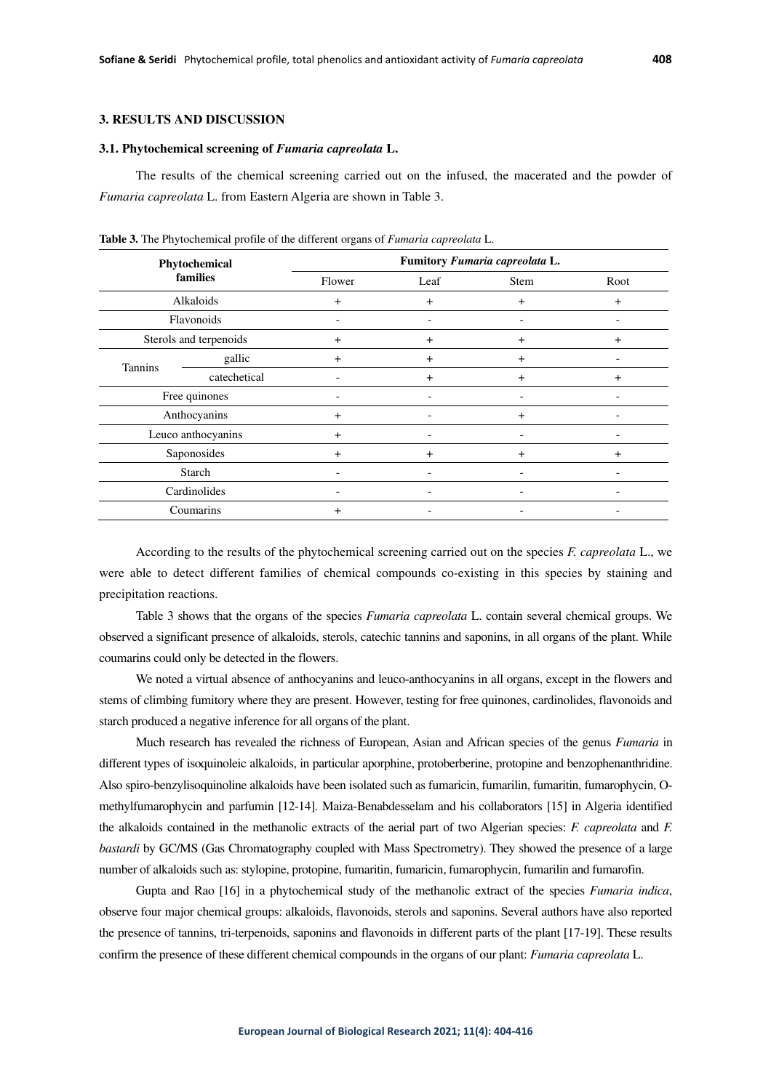# **3. RESULTS AND DISCUSSION**

#### **3.1. Phytochemical screening of** *Fumaria capreolata* **L.**

The results of the chemical screening carried out on the infused, the macerated and the powder of *Fumaria capreolata* L. from Eastern Algeria are shown in Table 3.

| Phytochemical<br>families |              | Fumitory Fumaria capreolata L. |                |                          |           |
|---------------------------|--------------|--------------------------------|----------------|--------------------------|-----------|
|                           |              | Flower                         | Leaf           | <b>Stem</b>              | Root      |
| Alkaloids                 |              | $+$                            | $+$            | $\overline{+}$           | $+$       |
| Flavonoids                |              |                                |                |                          |           |
| Sterols and terpenoids    |              | $+$                            | $\ddot{}$      | $\overline{+}$           | $\ddot{}$ |
| <b>Tannins</b>            | gallic       | $\ddot{}$                      | $\ddot{}$      | $\overline{+}$           |           |
|                           | catechetical |                                | $\overline{+}$ | $\ddot{}$                | $\ddot{}$ |
| Free quinones             |              | $\overline{\phantom{0}}$       | -              | $\overline{\phantom{a}}$ |           |
| Anthocyanins              |              | $+$                            |                | $+$                      |           |
| Leuco anthocyanins        |              | $+$                            |                |                          |           |
| Saponosides               |              | $\overline{+}$                 | $\ddot{}$      | $\ddot{}$                | $\ddot{}$ |
| Starch                    |              |                                |                |                          |           |
| Cardinolides              |              |                                |                |                          |           |
| Coumarins                 |              | $\ddot{}$                      |                |                          |           |

**Table 3.** The Phytochemical profile of the different organs of *Fumaria capreolata* L.

According to the results of the phytochemical screening carried out on the species *F. capreolata* L., we were able to detect different families of chemical compounds co-existing in this species by staining and precipitation reactions.

Table 3 shows that the organs of the species *Fumaria capreolata* L. contain several chemical groups. We observed a significant presence of alkaloids, sterols, catechic tannins and saponins, in all organs of the plant. While coumarins could only be detected in the flowers.

We noted a virtual absence of anthocyanins and leuco-anthocyanins in all organs, except in the flowers and stems of climbing fumitory where they are present. However, testing for free quinones, cardinolides, flavonoids and starch produced a negative inference for all organs of the plant.

Much research has revealed the richness of European, Asian and African species of the genus *Fumaria* in different types of isoquinoleic alkaloids, in particular aporphine, protoberberine, protopine and benzophenanthridine. Also spiro-benzylisoquinoline alkaloids have been isolated such as fumaricin, fumarilin, fumaritin, fumarophycin, Omethylfumarophycin and parfumin [12-14]. Maiza-Benabdesselam and his collaborators [15] in Algeria identified the alkaloids contained in the methanolic extracts of the aerial part of two Algerian species: *F. capreolata* and *F. bastardi* by GC/MS (Gas Chromatography coupled with Mass Spectrometry). They showed the presence of a large number of alkaloids such as: stylopine, protopine, fumaritin, fumaricin, fumarophycin, fumarilin and fumarofin.

Gupta and Rao [16] in a phytochemical study of the methanolic extract of the species *Fumaria indica*, observe four major chemical groups: alkaloids, flavonoids, sterols and saponins. Several authors have also reported the presence of tannins, tri-terpenoids, saponins and flavonoids in different parts of the plant [17-19]. These results confirm the presence of these different chemical compounds in the organs of our plant: *Fumaria capreolata* L.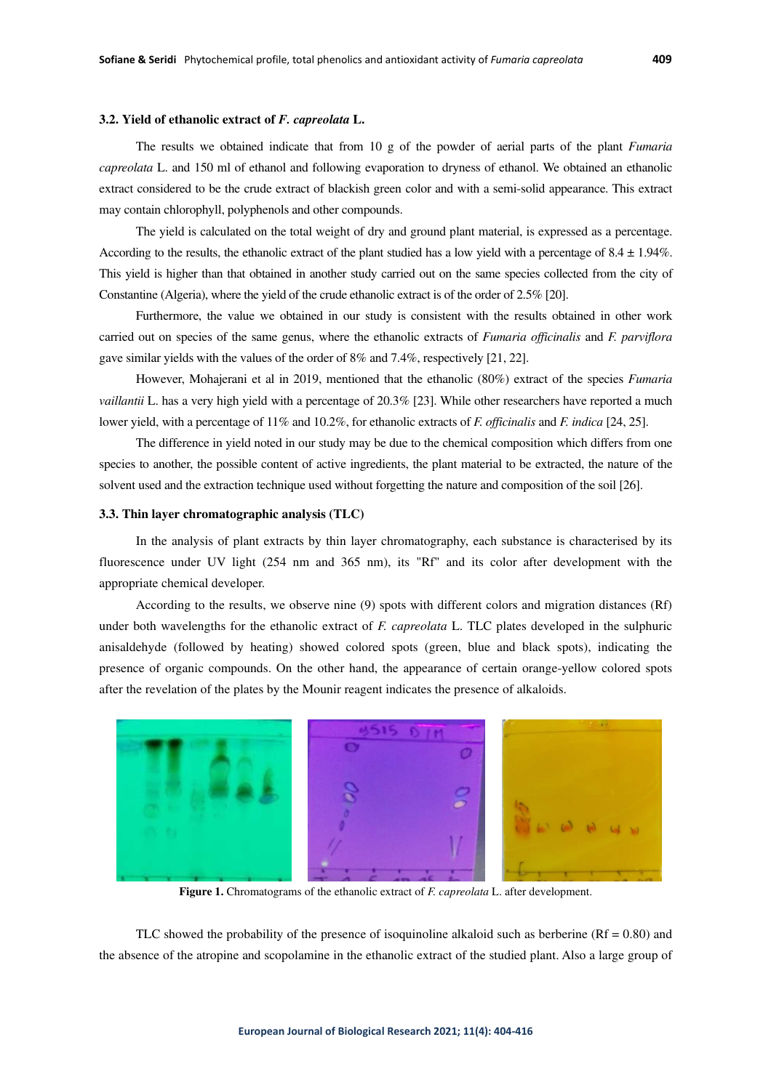# **3.2. Yield of ethanolic extract of** *F. capreolata* **L.**

The results we obtained indicate that from 10 g of the powder of aerial parts of the plant *Fumaria capreolata* L. and 150 ml of ethanol and following evaporation to dryness of ethanol. We obtained an ethanolic extract considered to be the crude extract of blackish green color and with a semi-solid appearance. This extract may contain chlorophyll, polyphenols and other compounds.

The yield is calculated on the total weight of dry and ground plant material, is expressed as a percentage. According to the results, the ethanolic extract of the plant studied has a low yield with a percentage of  $8.4 \pm 1.94\%$ . This yield is higher than that obtained in another study carried out on the same species collected from the city of Constantine (Algeria), where the yield of the crude ethanolic extract is of the order of 2.5% [20].

Furthermore, the value we obtained in our study is consistent with the results obtained in other work carried out on species of the same genus, where the ethanolic extracts of *Fumaria officinalis* and *F. parviflora* gave similar yields with the values of the order of 8% and 7.4%, respectively [21, 22].

However, Mohajerani et al in 2019, mentioned that the ethanolic (80%) extract of the species *Fumaria vaillantii* L. has a very high yield with a percentage of 20.3% [23]. While other researchers have reported a much lower yield, with a percentage of 11% and 10.2%, for ethanolic extracts of *F. officinalis* and *F. indica* [24, 25].

The difference in yield noted in our study may be due to the chemical composition which differs from one species to another, the possible content of active ingredients, the plant material to be extracted, the nature of the solvent used and the extraction technique used without forgetting the nature and composition of the soil [26].

#### **3.3. Thin layer chromatographic analysis (TLC)**

In the analysis of plant extracts by thin layer chromatography, each substance is characterised by its fluorescence under UV light (254 nm and 365 nm), its "Rf" and its color after development with the appropriate chemical developer.

According to the results, we observe nine (9) spots with different colors and migration distances (Rf) under both wavelengths for the ethanolic extract of *F. capreolata* L. TLC plates developed in the sulphuric anisaldehyde (followed by heating) showed colored spots (green, blue and black spots), indicating the presence of organic compounds. On the other hand, the appearance of certain orange-yellow colored spots after the revelation of the plates by the Mounir reagent indicates the presence of alkaloids.



**Figure 1.** Chromatograms of the ethanolic extract of *F. capreolata* L. after development.

TLC showed the probability of the presence of isoquinoline alkaloid such as berberine  $(Rf = 0.80)$  and the absence of the atropine and scopolamine in the ethanolic extract of the studied plant. Also a large group of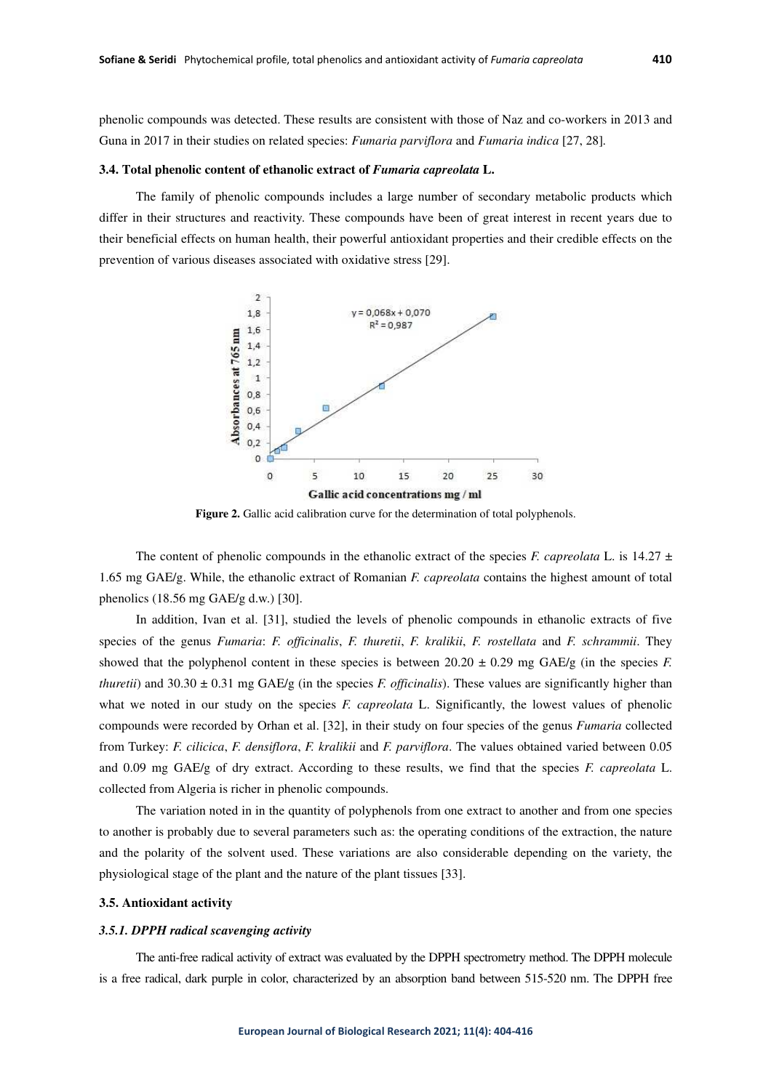phenolic compounds was detected. These results are consistent with those of Naz and co-workers in 2013 and Guna in 2017 in their studies on related species: *Fumaria parviflora* and *Fumaria indica* [27, 28]*.*

#### **3.4. Total phenolic content of ethanolic extract of** *Fumaria capreolata* **L.**

The family of phenolic compounds includes a large number of secondary metabolic products which differ in their structures and reactivity. These compounds have been of great interest in recent years due to their beneficial effects on human health, their powerful antioxidant properties and their credible effects on the prevention of various diseases associated with oxidative stress [29].



**Figure 2.** Gallic acid calibration curve for the determination of total polyphenols.

The content of phenolic compounds in the ethanolic extract of the species *F. capreolata* L. is 14.27  $\pm$ 1.65 mg GAE/g. While, the ethanolic extract of Romanian *F. capreolata* contains the highest amount of total phenolics (18.56 mg GAE/g d.w.) [30].

In addition, Ivan et al. [31], studied the levels of phenolic compounds in ethanolic extracts of five species of the genus *Fumaria*: *F. officinalis*, *F. thuretii*, *F. kralikii*, *F. rostellata* and *F. schrammii*. They showed that the polyphenol content in these species is between  $20.20 \pm 0.29$  mg GAE/g (in the species *F. thuretii*) and  $30.30 \pm 0.31$  mg GAE/g (in the species *F. officinalis*). These values are significantly higher than what we noted in our study on the species *F. capreolata* L. Significantly, the lowest values of phenolic compounds were recorded by Orhan et al. [32], in their study on four species of the genus *Fumaria* collected from Turkey: *F. cilicica*, *F. densiflora*, *F. kralikii* and *F. parviflora*. The values obtained varied between 0.05 and 0.09 mg GAE/g of dry extract. According to these results, we find that the species *F. capreolata* L. collected from Algeria is richer in phenolic compounds.

The variation noted in in the quantity of polyphenols from one extract to another and from one species to another is probably due to several parameters such as: the operating conditions of the extraction, the nature and the polarity of the solvent used. These variations are also considerable depending on the variety, the physiological stage of the plant and the nature of the plant tissues [33].

### **3.5. Antioxidant activity**

### *3.5.1. DPPH radical scavenging activity*

The anti-free radical activity of extract was evaluated by the DPPH spectrometry method. The DPPH molecule is a free radical, dark purple in color, characterized by an absorption band between 515-520 nm. The DPPH free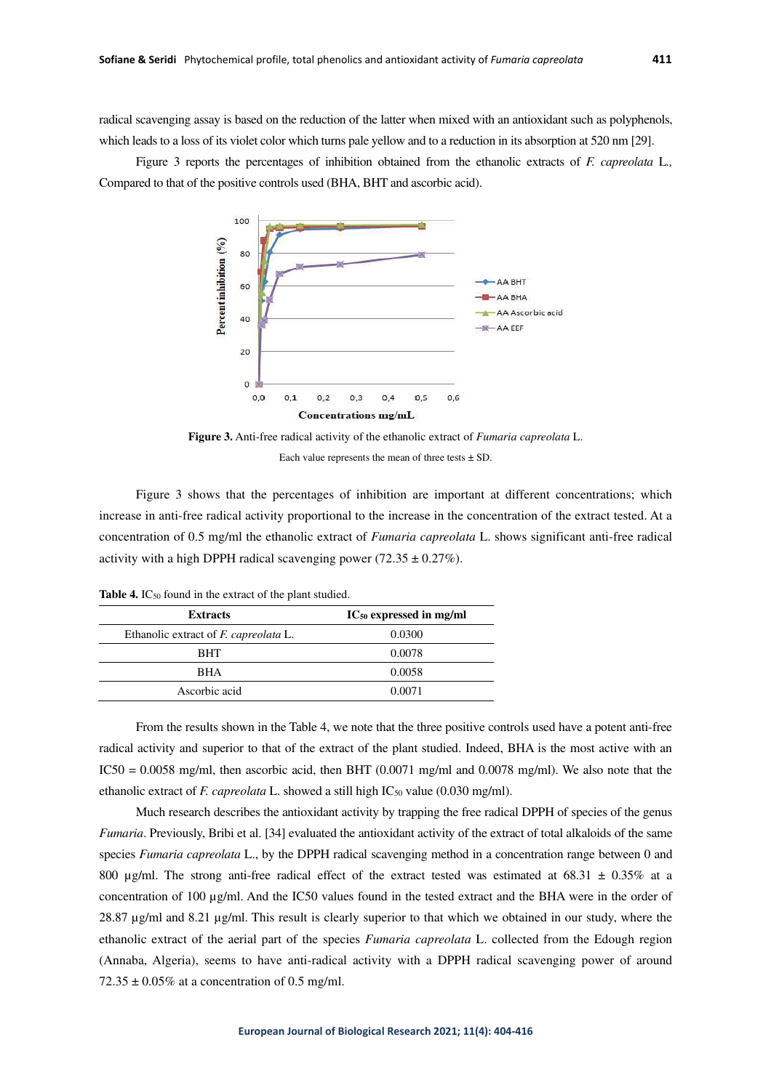radical scavenging assay is based on the reduction of the latter when mixed with an antioxidant such as polyphenols, which leads to a loss of its violet color which turns pale yellow and to a reduction in its absorption at 520 nm [29].

Figure 3 reports the percentages of inhibition obtained from the ethanolic extracts of *F. capreolata* L*.,* Compared to that of the positive controls used (BHA, BHT and ascorbic acid).





Figure 3 shows that the percentages of inhibition are important at different concentrations; which increase in anti-free radical activity proportional to the increase in the concentration of the extract tested. At a concentration of 0.5 mg/ml the ethanolic extract of *Fumaria capreolata* L. shows significant anti-free radical activity with a high DPPH radical scavenging power  $(72.35 \pm 0.27\%)$ .

| <b>Extracts</b>                              | $IC_{50}$ expressed in mg/ml |  |  |
|----------------------------------------------|------------------------------|--|--|
| Ethanolic extract of <i>F. capreolata</i> L. | 0.0300                       |  |  |
| <b>BHT</b>                                   | 0.0078                       |  |  |
| <b>BHA</b>                                   | 0.0058                       |  |  |
| Ascorbic acid                                | 0.0071                       |  |  |

Table 4. IC<sub>50</sub> found in the extract of the plant studied.

From the results shown in the Table 4, we note that the three positive controls used have a potent anti-free radical activity and superior to that of the extract of the plant studied. Indeed, BHA is the most active with an  $IC50 = 0.0058$  mg/ml, then ascorbic acid, then BHT (0.0071 mg/ml and 0.0078 mg/ml). We also note that the ethanolic extract of *F. capreolata* L. showed a still high IC<sub>50</sub> value (0.030 mg/ml).

Much research describes the antioxidant activity by trapping the free radical DPPH of species of the genus *Fumaria*. Previously, Bribi et al. [34] evaluated the antioxidant activity of the extract of total alkaloids of the same species *Fumaria capreolata* L., by the DPPH radical scavenging method in a concentration range between 0 and 800  $\mu$ g/ml. The strong anti-free radical effect of the extract tested was estimated at 68.31  $\pm$  0.35% at a concentration of 100 µg/ml. And the IC50 values found in the tested extract and the BHA were in the order of 28.87 µg/ml and 8.21 µg/ml. This result is clearly superior to that which we obtained in our study, where the ethanolic extract of the aerial part of the species *Fumaria capreolata* L. collected from the Edough region (Annaba, Algeria), seems to have anti-radical activity with a DPPH radical scavenging power of around  $72.35 \pm 0.05\%$  at a concentration of 0.5 mg/ml.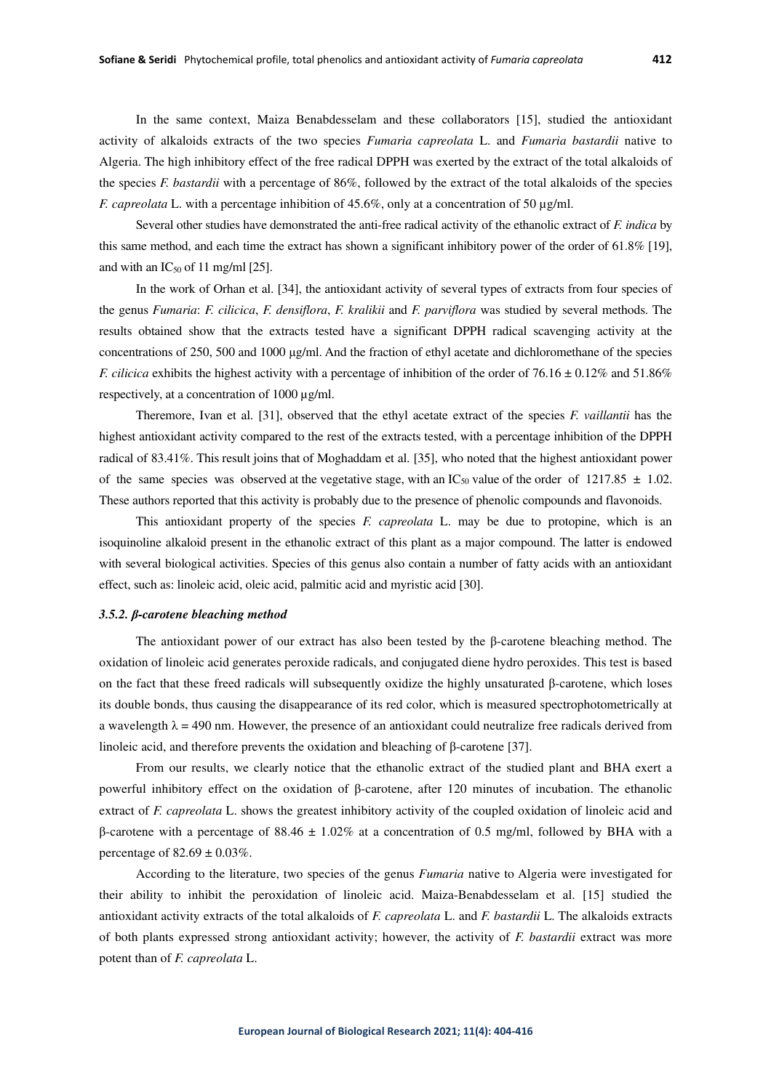Several other studies have demonstrated the anti-free radical activity of the ethanolic extract of *F. indica* by this same method, and each time the extract has shown a significant inhibitory power of the order of 61.8% [19], and with an  $IC_{50}$  of 11 mg/ml [25].

In the work of Orhan et al. [34], the antioxidant activity of several types of extracts from four species of the genus *Fumaria*: *F. cilicica*, *F. densiflora*, *F. kralikii* and *F. parviflora* was studied by several methods. The results obtained show that the extracts tested have a significant DPPH radical scavenging activity at the concentrations of 250, 500 and 1000 μg/ml. And the fraction of ethyl acetate and dichloromethane of the species *F. cilicica* exhibits the highest activity with a percentage of inhibition of the order of  $76.16 \pm 0.12\%$  and  $51.86\%$ respectively, at a concentration of 1000 µg/ml.

Theremore, Ivan et al. [31], observed that the ethyl acetate extract of the species *F. vaillantii* has the highest antioxidant activity compared to the rest of the extracts tested, with a percentage inhibition of the DPPH radical of 83.41%. This result joins that of Moghaddam et al. [35], who noted that the highest antioxidant power of the same species was observed at the vegetative stage, with an IC<sub>50</sub> value of the order of 1217.85  $\pm$  1.02. These authors reported that this activity is probably due to the presence of phenolic compounds and flavonoids.

This antioxidant property of the species *F. capreolata* L. may be due to protopine, which is an isoquinoline alkaloid present in the ethanolic extract of this plant as a major compound. The latter is endowed with several biological activities. Species of this genus also contain a number of fatty acids with an antioxidant effect, such as: linoleic acid, oleic acid, palmitic acid and myristic acid [30].

# *3.5.2. β-carotene bleaching method*

The antioxidant power of our extract has also been tested by the β-carotene bleaching method. The oxidation of linoleic acid generates peroxide radicals, and conjugated diene hydro peroxides. This test is based on the fact that these freed radicals will subsequently oxidize the highly unsaturated β-carotene, which loses its double bonds, thus causing the disappearance of its red color, which is measured spectrophotometrically at a wavelength  $\lambda = 490$  nm. However, the presence of an antioxidant could neutralize free radicals derived from linoleic acid, and therefore prevents the oxidation and bleaching of β-carotene [37].

From our results, we clearly notice that the ethanolic extract of the studied plant and BHA exert a powerful inhibitory effect on the oxidation of β-carotene, after 120 minutes of incubation. The ethanolic extract of *F. capreolata* L. shows the greatest inhibitory activity of the coupled oxidation of linoleic acid and β-carotene with a percentage of 88.46 ± 1.02% at a concentration of 0.5 mg/ml, followed by BHA with a percentage of  $82.69 \pm 0.03\%$ .

According to the literature, two species of the genus *Fumaria* native to Algeria were investigated for their ability to inhibit the peroxidation of linoleic acid. Maiza-Benabdesselam et al. [15] studied the antioxidant activity extracts of the total alkaloids of *F. capreolata* L. and *F. bastardii* L. The alkaloids extracts of both plants expressed strong antioxidant activity; however, the activity of *F. bastardii* extract was more potent than of *F. capreolata* L.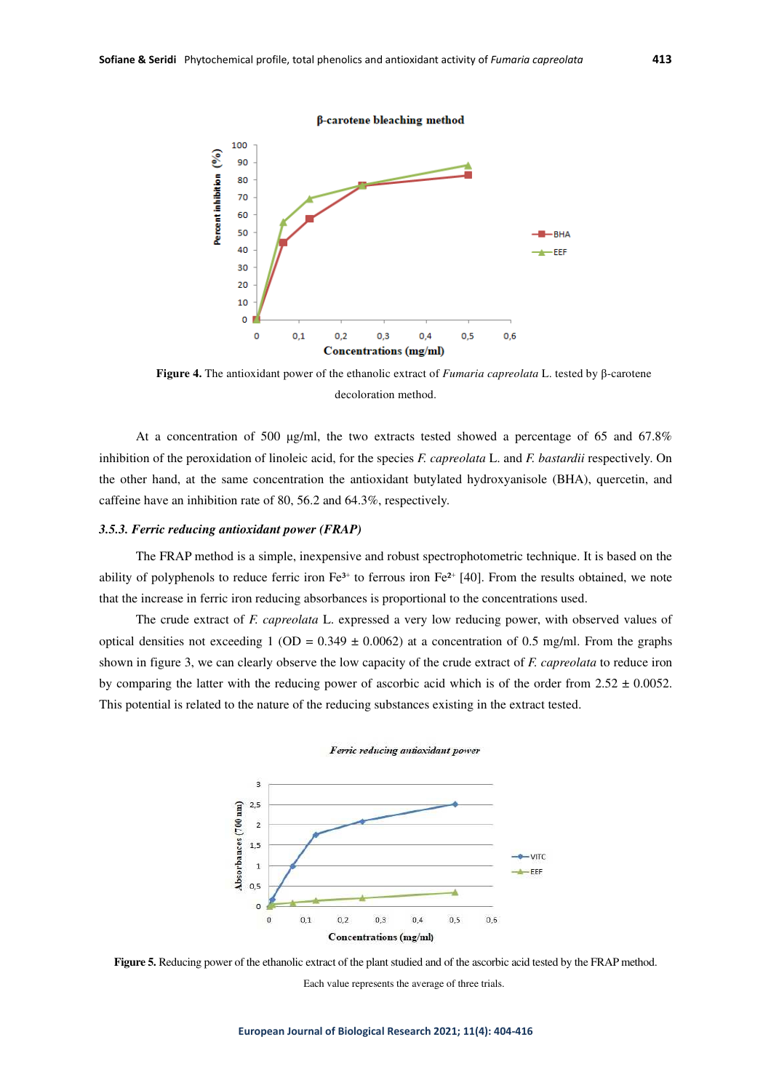β-carotene bleaching method



**Figure 4.** The antioxidant power of the ethanolic extract of *Fumaria capreolata* L. tested by β-carotene decoloration method.

At a concentration of 500 μg/ml, the two extracts tested showed a percentage of 65 and 67.8% inhibition of the peroxidation of linoleic acid, for the species *F. capreolata* L. and *F. bastardii* respectively. On the other hand, at the same concentration the antioxidant butylated hydroxyanisole (BHA), quercetin, and caffeine have an inhibition rate of 80, 56.2 and 64.3%, respectively.

## *3.5.3. Ferric reducing antioxidant power (FRAP)*

The FRAP method is a simple, inexpensive and robust spectrophotometric technique. It is based on the ability of polyphenols to reduce ferric iron  $Fe^{3+}$  to ferrous iron  $Fe^{2+}$  [40]. From the results obtained, we note that the increase in ferric iron reducing absorbances is proportional to the concentrations used.

The crude extract of *F. capreolata* L. expressed a very low reducing power, with observed values of optical densities not exceeding 1 (OD =  $0.349 \pm 0.0062$ ) at a concentration of 0.5 mg/ml. From the graphs shown in figure 3, we can clearly observe the low capacity of the crude extract of *F. capreolata* to reduce iron by comparing the latter with the reducing power of ascorbic acid which is of the order from  $2.52 \pm 0.0052$ . This potential is related to the nature of the reducing substances existing in the extract tested.





**Figure 5.** Reducing power of the ethanolic extract of the plant studied and of the ascorbic acid tested by the FRAP method.

Each value represents the average of three trials.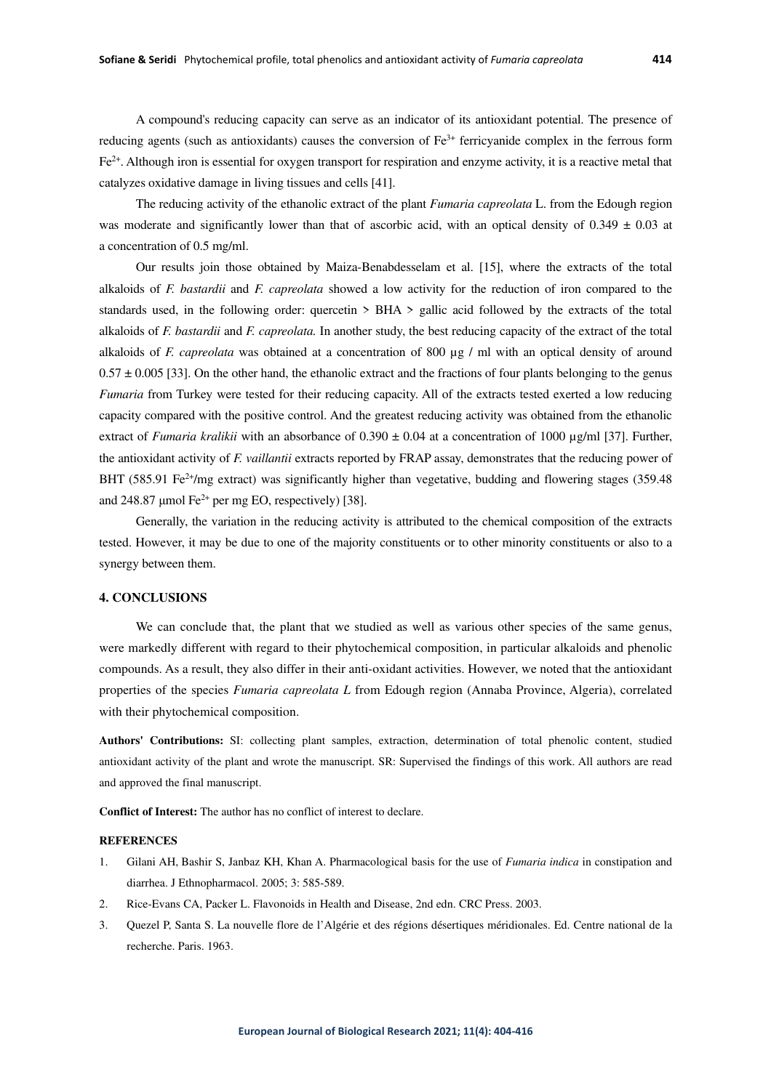A compound's reducing capacity can serve as an indicator of its antioxidant potential. The presence of reducing agents (such as antioxidants) causes the conversion of  $Fe<sup>3+</sup>$  ferricyanide complex in the ferrous form Fe2+. Although iron is essential for oxygen transport for respiration and enzyme activity, it is a reactive metal that catalyzes oxidative damage in living tissues and cells [41].

The reducing activity of the ethanolic extract of the plant *Fumaria capreolata* L. from the Edough region was moderate and significantly lower than that of ascorbic acid, with an optical density of  $0.349 \pm 0.03$  at a concentration of 0.5 mg/ml.

Our results join those obtained by Maiza-Benabdesselam et al. [15], where the extracts of the total alkaloids of *F. bastardii* and *F. capreolata* showed a low activity for the reduction of iron compared to the standards used, in the following order: quercetin > BHA > gallic acid followed by the extracts of the total alkaloids of *F. bastardii* and *F. capreolata.* In another study, the best reducing capacity of the extract of the total alkaloids of *F. capreolata* was obtained at a concentration of 800 µg / ml with an optical density of around  $0.57 \pm 0.005$  [33]. On the other hand, the ethanolic extract and the fractions of four plants belonging to the genus *Fumaria* from Turkey were tested for their reducing capacity. All of the extracts tested exerted a low reducing capacity compared with the positive control. And the greatest reducing activity was obtained from the ethanolic extract of *Fumaria kralikii* with an absorbance of  $0.390 \pm 0.04$  at a concentration of 1000  $\mu$ g/ml [37]. Further, the antioxidant activity of *F. vaillantii* extracts reported by FRAP assay, demonstrates that the reducing power of BHT (585.91 Fe<sup>2+</sup>/mg extract) was significantly higher than vegetative, budding and flowering stages (359.48) and 248.87 µmol Fe<sup>2+</sup> per mg EO, respectively) [38].

Generally, the variation in the reducing activity is attributed to the chemical composition of the extracts tested. However, it may be due to one of the majority constituents or to other minority constituents or also to a synergy between them.

# **4. CONCLUSIONS**

We can conclude that, the plant that we studied as well as various other species of the same genus, were markedly different with regard to their phytochemical composition, in particular alkaloids and phenolic compounds. As a result, they also differ in their anti-oxidant activities. However, we noted that the antioxidant properties of the species *Fumaria capreolata L* from Edough region (Annaba Province, Algeria), correlated with their phytochemical composition.

**Authors' Contributions:** SI: collecting plant samples, extraction, determination of total phenolic content, studied antioxidant activity of the plant and wrote the manuscript. SR: Supervised the findings of this work. All authors are read and approved the final manuscript.

**Conflict of Interest:** The author has no conflict of interest to declare.

#### **REFERENCES**

- 1. Gilani AH, Bashir S, Janbaz KH, Khan A. Pharmacological basis for the use of *Fumaria indica* in constipation and diarrhea. J Ethnopharmacol. 2005; 3: 585-589.
- 2. Rice-Evans CA, Packer L. Flavonoids in Health and Disease, 2nd edn. CRC Press. 2003.
- 3. Quezel P, Santa S. La nouvelle flore de l'Algérie et des régions désertiques méridionales. Ed. Centre national de la recherche. Paris. 1963.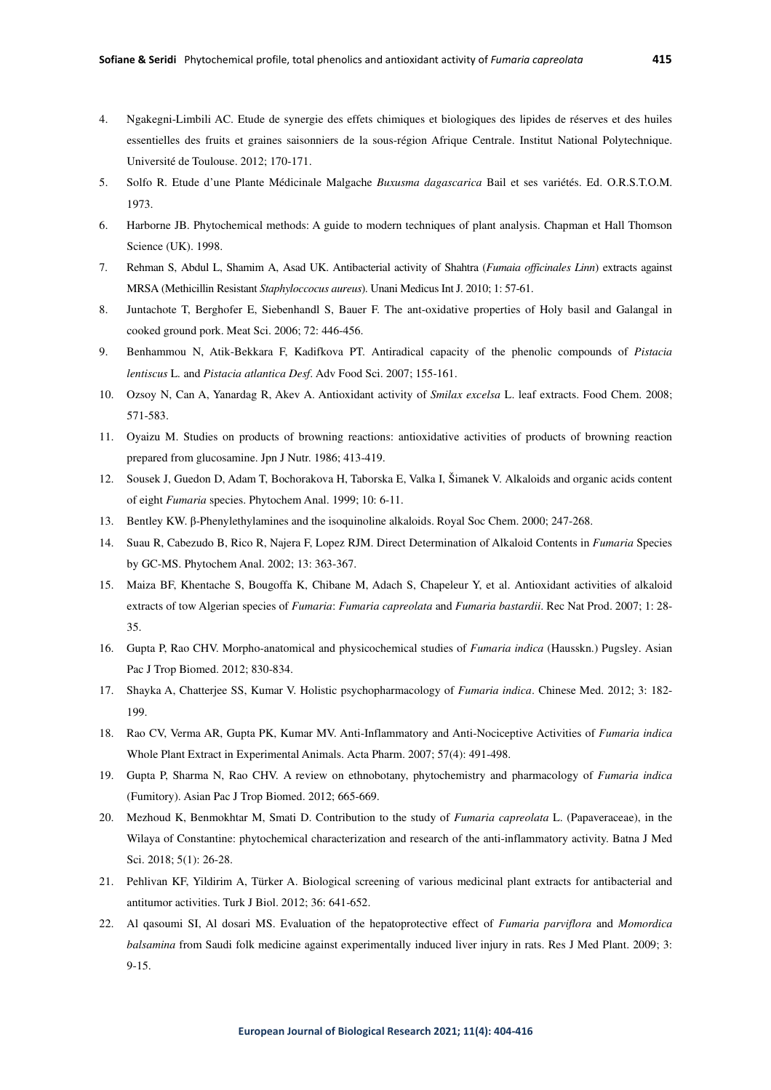- 4. Ngakegni-Limbili AC. Etude de synergie des effets chimiques et biologiques des lipides de réserves et des huiles essentielles des fruits et graines saisonniers de la sous-région Afrique Centrale. Institut National Polytechnique. Université de Toulouse. 2012; 170-171.
- 5. Solfo R. Etude d'une Plante Médicinale Malgache *Buxusma dagascarica* Bail et ses variétés. Ed. O.R.S.T.O.M. 1973.
- 6. Harborne JB. Phytochemical methods: A guide to modern techniques of plant analysis. Chapman et Hall Thomson Science (UK). 1998.
- 7. Rehman S, Abdul L, Shamim A, Asad UK. Antibacterial activity of Shahtra (*Fumaia officinales Linn*) extracts against MRSA (Methicillin Resistant *Staphyloccocus aureus*). Unani Medicus Int J. 2010; 1: 57-61.
- 8. Juntachote T, Berghofer E, Siebenhandl S, Bauer F. The ant-oxidative properties of Holy basil and Galangal in cooked ground pork. Meat Sci. 2006; 72: 446-456.
- 9. Benhammou N, Atik-Bekkara F, Kadifkova PT. Antiradical capacity of the phenolic compounds of *Pistacia lentiscus* L*.* and *Pistacia atlantica Desf*. Adv Food Sci. 2007; 155-161.
- 10. Ozsoy N, Can A, Yanardag R, Akev A. Antioxidant activity of *Smilax excelsa* L. leaf extracts. Food Chem. 2008; 571-583.
- 11. Oyaizu M. Studies on products of browning reactions: antioxidative activities of products of browning reaction prepared from glucosamine. Jpn J Nutr. 1986; 413-419.
- 12. Sousek J, Guedon D, Adam T, Bochorakova H, Taborska E, Valka I, Šimanek V. Alkaloids and organic acids content of eight *Fumaria* species. Phytochem Anal. 1999; 10: 6-11.
- 13. Bentley KW. β-Phenylethylamines and the isoquinoline alkaloids. Royal Soc Chem. 2000; 247-268.
- 14. Suau R, Cabezudo B, Rico R, Najera F, Lopez RJM. Direct Determination of Alkaloid Contents in *Fumaria* Species by GC-MS. Phytochem Anal. 2002; 13: 363-367.
- 15. Maiza BF, Khentache S, Bougoffa K, Chibane M, Adach S, Chapeleur Y, et al. Antioxidant activities of alkaloid extracts of tow Algerian species of *Fumaria*: *Fumaria capreolata* and *Fumaria bastardii*. Rec Nat Prod. 2007; 1: 28- 35.
- 16. Gupta P, Rao CHV. Morpho-anatomical and physicochemical studies of *Fumaria indica* (Hausskn.) Pugsley. Asian Pac J Trop Biomed. 2012; 830-834.
- 17. Shayka A, Chatterjee SS, Kumar V. Holistic psychopharmacology of *Fumaria indica*. Chinese Med. 2012; 3: 182- 199.
- 18. Rao CV, Verma AR, Gupta PK, Kumar MV. Anti-Inflammatory and Anti-Nociceptive Activities of *Fumaria indica*  Whole Plant Extract in Experimental Animals. Acta Pharm. 2007; 57(4): 491-498.
- 19. Gupta P, Sharma N, Rao CHV. A review on ethnobotany, phytochemistry and pharmacology of *Fumaria indica*  (Fumitory). Asian Pac J Trop Biomed. 2012; 665-669.
- 20. Mezhoud K, Benmokhtar M, Smati D. Contribution to the study of *Fumaria capreolata* L. (Papaveraceae), in the Wilaya of Constantine: phytochemical characterization and research of the anti-inflammatory activity. Batna J Med Sci. 2018; 5(1): 26-28.
- 21. Pehlivan KF, Yildirim A, Türker A. Biological screening of various medicinal plant extracts for antibacterial and antitumor activities. Turk J Biol. 2012; 36: 641-652.
- 22. Al qasoumi SI, Al dosari MS. Evaluation of the hepatoprotective effect of *Fumaria parviflora* and *Momordica balsamina* from Saudi folk medicine against experimentally induced liver injury in rats. Res J Med Plant. 2009; 3: 9-15.